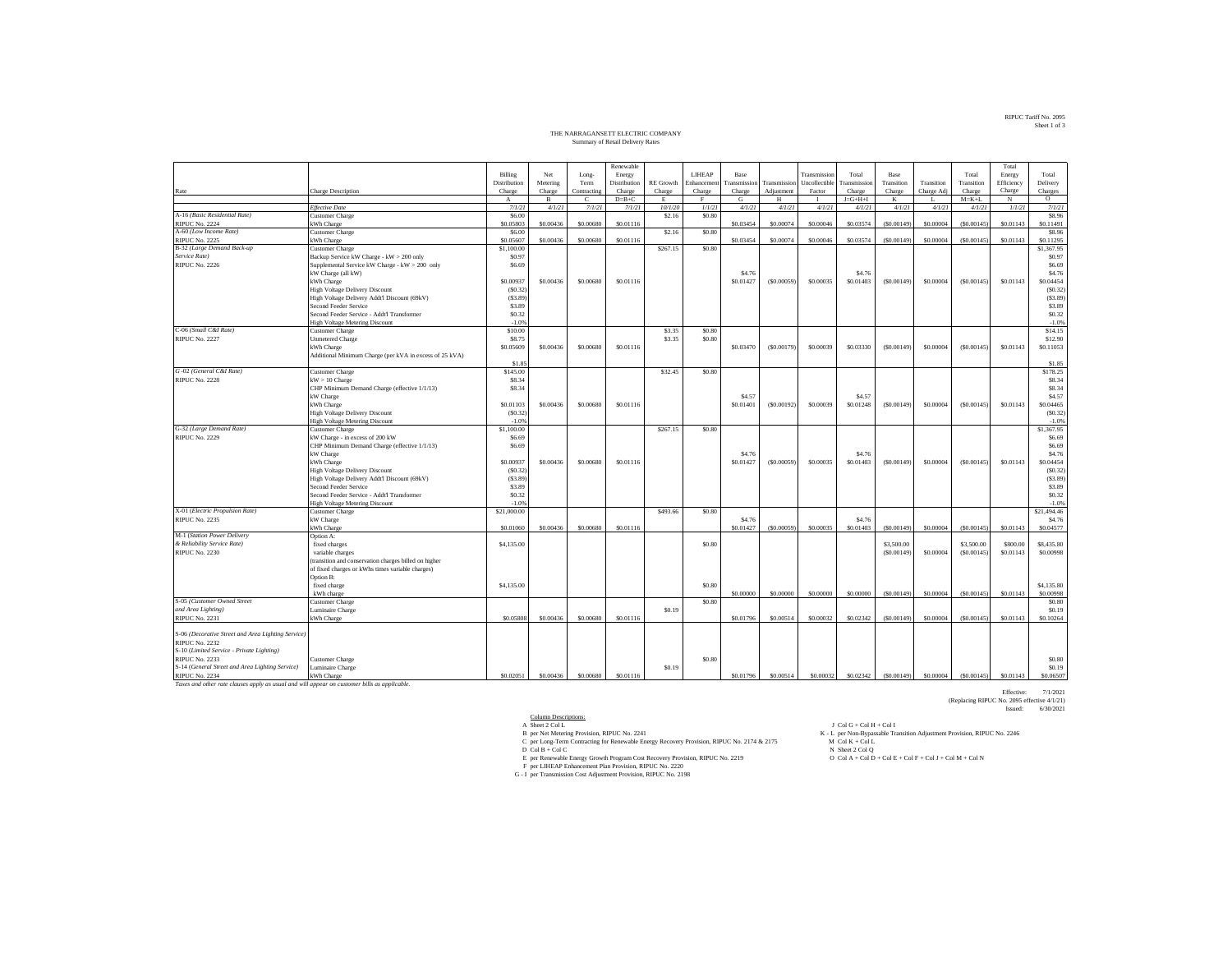## RIPUC Tariff No. 2095 Sheet 1 of 3

## THE NARRAGANSETT ELECTRIC COMPANY Summary of Retail Delivery Rates

|                                                                                             |                                                         |              |              |             | Renewable    |                  |              |                     |              |              |                     |              |            |              | Total      |                     |
|---------------------------------------------------------------------------------------------|---------------------------------------------------------|--------------|--------------|-------------|--------------|------------------|--------------|---------------------|--------------|--------------|---------------------|--------------|------------|--------------|------------|---------------------|
|                                                                                             |                                                         | Billing      | Net          | Long-       | Energy       |                  | LIHEAP       | Base                |              | Transmissio  | Total               | <b>Base</b>  |            | Total        | Energy     | Total               |
|                                                                                             |                                                         | Distribution | Metering     | Term        | Distribution | <b>RE</b> Growth | Enhancemen   | ransmission         | Transmission | Uncollectibl | <b>Transmission</b> | Transition   | Transition | Transition   | Efficiency | Delivery            |
| Rate                                                                                        | Charge Description                                      | Charge       | Charge       | Contracting | Charge       | Charge           | Charge       | Charge              | Adjustment   | Factor       | Charge              | Charge       | Charge Adj | Charge       | Charge     | Charges             |
|                                                                                             |                                                         | $\mathbf{A}$ | $\mathbf{B}$ | Ċ           | $D=B+C$      | E                | $\mathbf{F}$ | G                   | H            |              | $J = G + H + I$     | K            |            | $M = K + L$  | $_{\rm N}$ | $\circ$             |
|                                                                                             | <b>Effective Date</b>                                   | 7/1/21       | 4/1/21       | 7/1/21      | 7/1/21       | 10/1/20          | 1/1/21       | 4/1/21              | 4/1/21       | 4/1/21       | 4/1/21              | 4/1/21       | 4/1/21     | 4/1/21       | 1/1/21     | 7/1/21              |
| A-16 (Basic Residential Rate)                                                               | <b>Customer Charge</b>                                  | \$6.00       |              |             |              | \$2.16           | \$0.80       |                     |              |              |                     |              |            |              |            | \$8.96              |
| <b>RIPUC No. 2224</b>                                                                       | kWh Charge                                              | \$0.05803    | \$0,00436    | \$0,00680   | \$0.01116    |                  |              | \$0.03454           | \$0.00074    | \$0.00046    | \$0,03574           | (S0,00149)   | \$0,00004  | (S0.00145)   | \$0.01143  | \$0.11491           |
| A-60 (Low Income Rate)                                                                      | <b>Customer Charge</b>                                  | \$6.00       |              |             |              | \$2.16           | \$0.80       |                     |              |              |                     |              |            |              |            | \$8.96              |
| <b>RIPUC No. 2225</b>                                                                       | Wh Charge                                               | \$0,05607    | \$0,00436    | \$0,00680   | \$0.01116    |                  |              | \$0.03454           | \$0,00074    | \$0,00046    | \$0,03574           | (\$0,00149)  | \$0,00004  | (S0.00145)   | \$0.01143  | \$0.11295           |
| B-32 (Large Demand Back-up                                                                  | Customer Charge                                         | \$1,100.00   |              |             |              | \$267.15         | \$0.80       |                     |              |              |                     |              |            |              |            | \$1,367.95          |
| Service Rate)                                                                               | Backup Service kW Charge - kW > 200 only                | \$0.97       |              |             |              |                  |              |                     |              |              |                     |              |            |              |            | \$0.97              |
| <b>RIPUC No. 2226</b>                                                                       | Supplemental Service kW Charge - kW > 200 only          | \$6.69       |              |             |              |                  |              |                     |              |              |                     |              |            |              |            | \$6.69              |
|                                                                                             | kW Charge (all kW)                                      |              |              |             |              |                  |              | S4.76               |              |              | S <sub>4.76</sub>   |              |            |              |            | \$4.76              |
|                                                                                             | kWh Charge                                              | \$0.00937    | \$0.00436    | \$0,00680   | \$0,01116    |                  |              | \$0.01427           | (\$0.00059)  | \$0,00035    | \$0.01403           | (S0.00149)   | \$0.00004  | ( \$0.00145] | \$0.01143  | \$0.04454           |
|                                                                                             | High Voltage Delivery Discount                          | (S0.32)      |              |             |              |                  |              |                     |              |              |                     |              |            |              |            | (S0.32)             |
|                                                                                             | High Voltage Delivery Addt'l Discount (69kV)            | ( \$3.89)    |              |             |              |                  |              |                     |              |              |                     |              |            |              |            | ( \$3.89)           |
|                                                                                             | Second Feeder Service                                   | \$3.89       |              |             |              |                  |              |                     |              |              |                     |              |            |              |            | \$3.89              |
|                                                                                             | Second Feeder Service - Addt'l Transformer              | \$0.32       |              |             |              |                  |              |                     |              |              |                     |              |            |              |            | \$0.32              |
|                                                                                             | <b>High Voltage Metering Discount</b>                   | $-1.0%$      |              |             |              |                  |              |                     |              |              |                     |              |            |              |            | $-1.0%$             |
| C-06 (Small C&I Rate)                                                                       | Customer Charge                                         | \$10.00      |              |             |              | \$3.35           | \$0.80       |                     |              |              |                     |              |            |              |            | \$14.15             |
| RIPUC No. 2227                                                                              | Unmetered Charge                                        | \$8.75       |              |             |              | \$3.35           | \$0.80       |                     |              |              |                     |              |            |              |            | \$12.90             |
|                                                                                             | kWh Charge                                              | \$0,05609    | \$0,00436    | \$0,00680   | S0.01116     |                  |              | \$0.03470           | (S0.00179)   | \$0,00039    | \$0,03330           | (S0,00149)   | \$0,00004  | (S0.00145)   | \$0.01143  | \$0,11053           |
|                                                                                             | Additional Minimum Charge (per kVA in excess of 25 kVA) |              |              |             |              |                  |              |                     |              |              |                     |              |            |              |            |                     |
|                                                                                             |                                                         | \$1.85       |              |             |              |                  |              |                     |              |              |                     |              |            |              |            | \$1.85              |
| G-02 (General C&I Rate)                                                                     | Customer Charge                                         | \$145.00     |              |             |              | \$32.45          | \$0.80       |                     |              |              |                     |              |            |              |            | \$178.25            |
| <b>RIPUC No. 2228</b>                                                                       | $kW > 10$ Charge                                        | \$8.34       |              |             |              |                  |              |                     |              |              |                     |              |            |              |            | \$8.34              |
|                                                                                             | CHP Minimum Demand Charge (effective 1/1/13)            | \$8.34       |              |             |              |                  |              |                     |              |              |                     |              |            |              |            | \$8.34              |
|                                                                                             | kW Charge<br>kWh Charge                                 | \$0.01103    | \$0.00436    | \$0.00680   | \$0.01116    |                  |              | \$4.57<br>\$0.01401 | (S0.00192)   | \$0.00039    | \$4.57<br>\$0.01248 | ( \$0.00149) | \$0.00004  | ( \$0.00145] | \$0.01143  | \$4.57<br>\$0.04465 |
|                                                                                             | <b>High Voltage Delivery Discount</b>                   | (S0.32)      |              |             |              |                  |              |                     |              |              |                     |              |            |              |            | (S0.32)             |
|                                                                                             | <b>High Voltage Metering Discount</b>                   | $-1.0%$      |              |             |              |                  |              |                     |              |              |                     |              |            |              |            | $-1.0%$             |
| G-32 (Large Demand Rate)                                                                    | Customer Charge                                         | \$1,100.00   |              |             |              | \$267.15         | \$0.80       |                     |              |              |                     |              |            |              |            | \$1,367.95          |
| <b>RIPUC No. 2229</b>                                                                       | kW Charge - in excess of 200 kW                         | \$6.69       |              |             |              |                  |              |                     |              |              |                     |              |            |              |            | \$6.69              |
|                                                                                             | CHP Minimum Demand Charge (effective 1/1/13)            | \$6.69       |              |             |              |                  |              |                     |              |              |                     |              |            |              |            | \$6.69              |
|                                                                                             | kW Charge                                               |              |              |             |              |                  |              | S <sub>4.76</sub>   |              |              | S <sub>4.76</sub>   |              |            |              |            | \$4.76              |
|                                                                                             | kWh Charge                                              | \$0.00937    | \$0.00436    | \$0,00680   | \$0.01116    |                  |              | \$0.01427           | (S0.00059)   | \$0.00035    | \$0.01403           | (S0.00149)   | \$0.00004  | (S0.00145)   | \$0.01143  | \$0.04454           |
|                                                                                             | High Voltage Delivery Discount                          | (S0.32)      |              |             |              |                  |              |                     |              |              |                     |              |            |              |            | (S0.32)             |
|                                                                                             | High Voltage Delivery Addt'l Discount (69kV)            | (S3.89)      |              |             |              |                  |              |                     |              |              |                     |              |            |              |            | (S3.89)             |
|                                                                                             | Second Feeder Service                                   | \$3.89       |              |             |              |                  |              |                     |              |              |                     |              |            |              |            | \$3.89              |
|                                                                                             | Second Feeder Service - Addt'l Transformer              | \$0.32       |              |             |              |                  |              |                     |              |              |                     |              |            |              |            | \$0.32              |
|                                                                                             | <b>High Voltage Metering Discount</b>                   | $-1.09$      |              |             |              |                  |              |                     |              |              |                     |              |            |              |            | $-1.0%$             |
| X-01 (Electric Propulsion Rate)                                                             | Customer Charge                                         | \$21,000.00  |              |             |              | \$493.66         | \$0.80       |                     |              |              |                     |              |            |              |            | \$21,494.46         |
| <b>RIPUC No. 2235</b>                                                                       | kW Charge                                               |              |              |             |              |                  |              | S4.76               |              |              | S <sub>4.76</sub>   |              |            |              |            | \$4.76              |
|                                                                                             | kWh Charge                                              | \$0,01060    | \$0.00436    | \$0,00680   | \$0.01116    |                  |              | \$0.01427           | (\$0,00059   | \$0,00035    | \$0.01403           | (S0,00149)   | \$0,00004  | (S0.00145)   | \$0.01143  | \$0.04577           |
| M-1 (Station Power Delivery                                                                 | Option A:                                               |              |              |             |              |                  |              |                     |              |              |                     |              |            |              |            |                     |
| & Reliability Service Rate)                                                                 | fixed charges                                           | \$4,135.00   |              |             |              |                  | \$0.80       |                     |              |              |                     | \$3,500.00   |            | \$3,500.00   | \$800.00   | \$8,435.80          |
| <b>RIPUC No. 2230</b>                                                                       | variable charges                                        |              |              |             |              |                  |              |                     |              |              |                     | (S0.00149)   | \$0.00004  | ( \$0.00145] | \$0.01143  | \$0.00998           |
|                                                                                             | (transition and conservation charges billed on higher   |              |              |             |              |                  |              |                     |              |              |                     |              |            |              |            |                     |
|                                                                                             | of fixed charges or kWhs times variable charges)        |              |              |             |              |                  |              |                     |              |              |                     |              |            |              |            |                     |
|                                                                                             | Option B:                                               |              |              |             |              |                  |              |                     |              |              |                     |              |            |              |            |                     |
|                                                                                             | fixed charge                                            | \$4,135.00   |              |             |              |                  | \$0.80       |                     |              |              |                     |              |            |              |            | \$4,135.80          |
|                                                                                             | kWh charge                                              |              |              |             |              |                  |              | \$0,00000           | \$0,00000    | \$0,00000    | \$0,00000           | (50,00149)   | \$0,00004  | (S0.00145)   | \$0.01143  | \$0,00998           |
| S-05 (Customer Owned Street                                                                 | <b>Customer Charge</b>                                  |              |              |             |              |                  | \$0.80       |                     |              |              |                     |              |            |              |            | \$0.80              |
| and Area Lighting)                                                                          | Luminaire Charge                                        |              |              |             |              | \$0.19           |              |                     |              |              |                     |              |            |              |            | \$0.19              |
| <b>RIPUC No. 2231</b>                                                                       | Wh Charge                                               | \$0,05808    | \$0,00436    | \$0,00680   | \$0,01116    |                  |              | \$0,01796           | \$0,00514    | \$0,00032    | \$0.02342           | (S0,00149)   | \$0,00004  | (S0.00145)   | \$0.01143  | \$0,10264           |
| S-06 (Decorative Street and Area Lighting Service)                                          |                                                         |              |              |             |              |                  |              |                     |              |              |                     |              |            |              |            |                     |
| <b>RIPUC No. 2232</b>                                                                       |                                                         |              |              |             |              |                  |              |                     |              |              |                     |              |            |              |            |                     |
| S-10 (Limited Service - Private Lighting)                                                   |                                                         |              |              |             |              |                  |              |                     |              |              |                     |              |            |              |            |                     |
| <b>RIPUC No. 2233</b>                                                                       | Customer Charge                                         |              |              |             |              |                  | \$0.80       |                     |              |              |                     |              |            |              |            | \$0.80              |
| S-14 (General Street and Area Lighting Service)                                             | Luminaire Charge                                        |              |              |             |              | \$0.19           |              |                     |              |              |                     |              |            |              |            | \$0.19              |
| <b>RIPUC No. 2234</b>                                                                       | kWh Charge                                              | \$0.02051    | \$0,00436    | \$0,00680   | \$0,01116    |                  |              | \$0,01796           | \$0,00514    | \$0,00032    | \$0.02342           | (50,00149)   | \$0,00004  | (S0.00145)   | \$0.01143  | \$0,06507           |
| Taxes and other rate clauses apply as usual and will appear on customer bills as applicable |                                                         |              |              |             |              |                  |              |                     |              |              |                     |              |            |              |            |                     |

- Column Descriptions: A Sheet 2 Col L J Col G + Col H + Col I B per Net Metering Provision, RIPUC No. 2241 K L per Non-Bypassable Transition Adjustment Provision, RIPUC No. 2246 C per Long-Term Contracting for Renewable Energy Recovery Provision, RIPUC No. 2174 & 2175 M Col K + Col L D Col B + Col C N Sheet 2 Col Q E per Renewable Energy Growth Program Cost Recovery Provision, RIPUC No. 2219 O Col A + Col D + Col E + Col F + Col J + Col M + Col N F per LIHEAP Enhancement Plan Provision, RIPUC No. 2220 G I per Transmission Cost Adjustment Provision, RIPUC No. 2198
- 
- 
- 
- 

Effective: 7/1/2021 (Replacing RIPUC No. 2095 effective 4/1/21) Issued: 6/30/2021

- 
- 
- 
-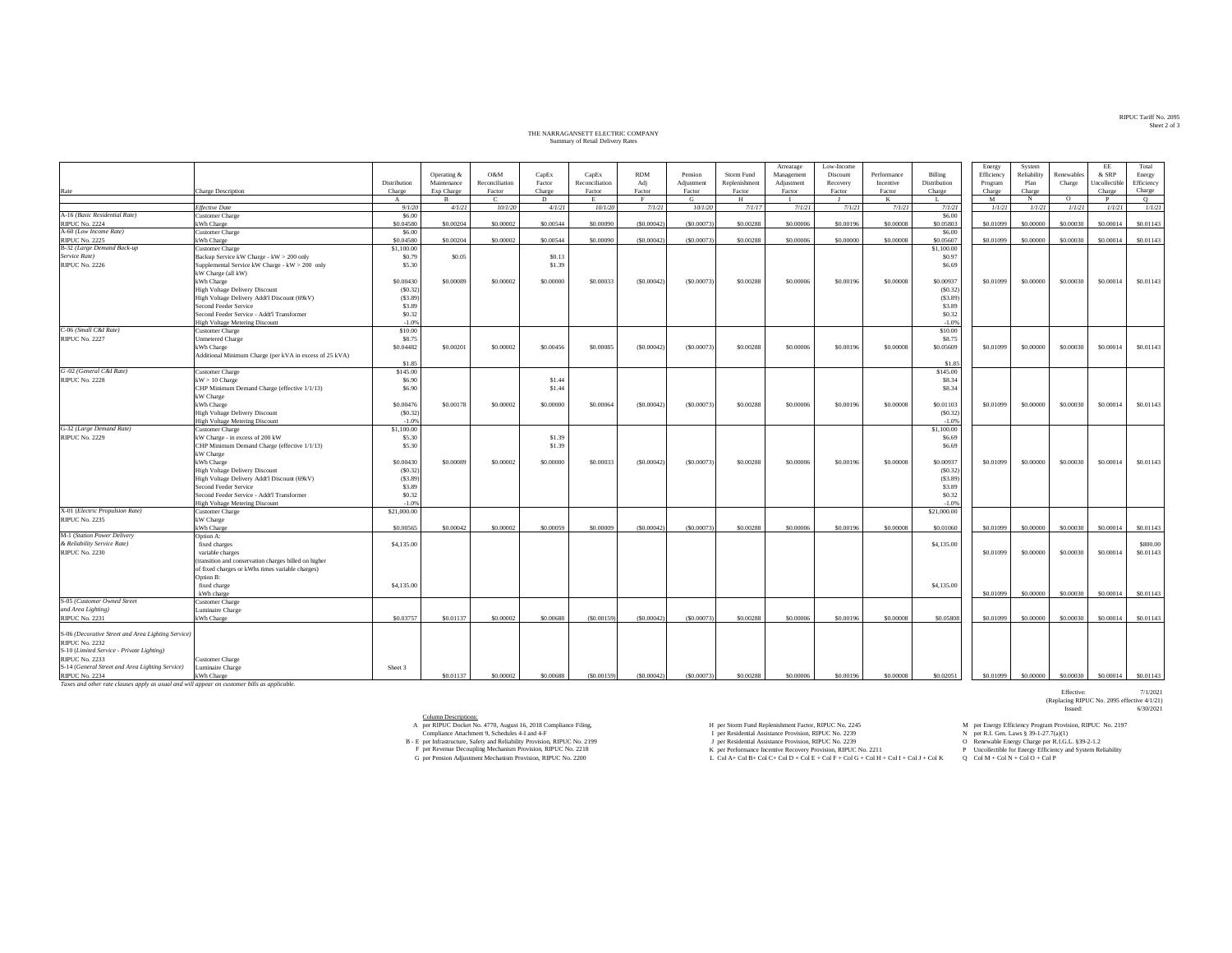## THE NARRAGANSETT ELECTRIC COMPANY THE NARRAGANSETT ELECTRIC COMPANY Summary of Retail Delivery Rates

|                                                    |                                                         |              |             |                |           |                |            |             |               | Arrearage  | Low-Income |             |              | Energy     | System      |            | EE            | Total      |
|----------------------------------------------------|---------------------------------------------------------|--------------|-------------|----------------|-----------|----------------|------------|-------------|---------------|------------|------------|-------------|--------------|------------|-------------|------------|---------------|------------|
|                                                    |                                                         |              | Operating & | O&M            | CapEx     | CapEx          | <b>RDM</b> | Pension     | Storm Fund    | Management | Discount   | Performance | Billing      | Efficiency | Reliability | Renewables | & SRP         | Energy     |
|                                                    |                                                         | Distribution | Maintenance | Reconciliation | Factor    | Reconciliation | Adj        | Adjustment  | Replenishment | Adjustment | Recovery   | Incentive   | Distribution | Program    | Plan        | Charge     | Uncollectible | Efficiency |
| Rate                                               | <b>Charge Description</b>                               | Charge       | Exp Charge  | Factor         | Charge    | Factor         | Factor     | Factor      | Factor        | Factor     | Factor     | Factor      | Charge       | Charge     | Charge      |            | Charge        | Charge     |
|                                                    |                                                         | $\mathbf{A}$ | $\bf{B}$    | C.             | D         | E              | F          | G           | H             |            | л.         | $_{\rm K}$  | Т.           | M          | N           | $\circ$    | P             | $\circ$    |
|                                                    | <b>Effective Date</b>                                   | 9/1/20       | 4/1/21      | 10/1/20        | 4/1/21    | 10/1/20        | 7/1/21     | 10/1/20     | 7/1/17        | 7/1/21     | 7/1/21     | 7/1/21      | 7/1/21       | 1/1/21     | 1/1/21      | 1/1/21     | 1/1/21        | 1/1/21     |
| A-16 (Basic Residential Rate)                      | <b>Customer Charge</b>                                  | \$6.00       |             |                |           |                |            |             |               |            |            |             | \$6.00       |            |             |            |               |            |
|                                                    |                                                         |              |             |                |           |                |            |             |               |            |            |             |              |            |             |            |               |            |
| <b>RIPUC No. 2224</b>                              | kWh Charge                                              | \$0.04580    | \$0.00204   | \$0,00002      | \$0.00544 | \$0,00090      | (S0.00042) | (\$0,00073) | \$0.00288     | \$0,00006  | \$0.00196  | \$0,00008   | \$0,05803    | \$0.01099  | \$0.00000   | \$0.00030  | \$0,00014     | \$0.01143  |
| A-60 (Low Income Rate)                             | <b>Customer Charge</b>                                  | \$6,00       |             |                |           |                |            |             |               |            |            |             | \$6.00       |            |             |            |               |            |
| <b>RIPUC No. 2225</b>                              | kWh Charge                                              | \$0,04580    | \$0,00204   | \$0,00002      | \$0,00544 | \$0,00090      | (S0.00042) | (\$0,00073) | \$0,00288     | \$0,00006  | \$0,00000  | \$0,00008   | \$0,05607    | \$0,01099  | \$0,00000   | \$0,00030  | \$0,00014     | \$0.01143  |
| B-32 (Large Demand Back-up                         | <b>Customer Charge</b>                                  | \$1,100.00   |             |                |           |                |            |             |               |            |            |             | \$1,100.00   |            |             |            |               |            |
| Service Rate)                                      | Backup Service kW Charge - kW > 200 only                | \$0.79       | \$0.05      |                | \$0.13    |                |            |             |               |            |            |             | \$0.97       |            |             |            |               |            |
| <b>RIPUC No. 2226</b>                              | Supplemental Service kW Charge - kW > 200 only          | \$5.30       |             |                | \$1.39    |                |            |             |               |            |            |             | \$6.69       |            |             |            |               |            |
|                                                    | kW Charge (all kW)                                      |              |             |                |           |                |            |             |               |            |            |             |              |            |             |            |               |            |
|                                                    |                                                         | \$0.00430    | \$0,00089   | \$0,00002      | \$0,00000 | \$0,00033      | (50.00042) | (S0,00073)  | \$0.00288     | \$0,00006  | \$0,00196  | \$0,00008   | \$0,00937    | \$0,01099  | \$0.00000   | \$0,00030  | \$0.00014     | \$0.01143  |
|                                                    | kWh Charge                                              |              |             |                |           |                |            |             |               |            |            |             |              |            |             |            |               |            |
|                                                    | <b>High Voltage Delivery Discount</b>                   | (S0.32)      |             |                |           |                |            |             |               |            |            |             | (S0.32)      |            |             |            |               |            |
|                                                    | High Voltage Delivery Addt'l Discount (69kV)            | (S3.89)      |             |                |           |                |            |             |               |            |            |             | (S3.89)      |            |             |            |               |            |
|                                                    | Second Feeder Service                                   | \$3.89       |             |                |           |                |            |             |               |            |            |             | \$3.89       |            |             |            |               |            |
|                                                    | Second Feeder Service - Addt'l Transformer              | \$0.32       |             |                |           |                |            |             |               |            |            |             | \$0.32       |            |             |            |               |            |
|                                                    | <b>High Voltage Metering Discount</b>                   | $-1.0%$      |             |                |           |                |            |             |               |            |            |             | $-1.0%$      |            |             |            |               |            |
| C-06 (Small C&I Rate)                              | <b>Customer Charge</b>                                  | \$10.00      |             |                |           |                |            |             |               |            |            |             | \$10.00      |            |             |            |               |            |
| <b>RIPUC No. 2227</b>                              | Unmetered Charge                                        | \$8.75       |             |                |           |                |            |             |               |            |            |             | \$8.75       |            |             |            |               |            |
|                                                    |                                                         |              |             |                |           |                |            |             |               |            |            |             |              |            |             |            |               |            |
|                                                    | kWh Charge                                              | \$0.04482    | \$0,00201   | \$0,00002      | \$0,00456 | \$0,00085      | (S0.00042) | (S0,00073)  | \$0.00288     | \$0,00006  | \$0,00196  | \$0,00008   | \$0.05609    | \$0,01099  | \$0,00000   | \$0,00030  | \$0,00014     | \$0.01143  |
|                                                    | Additional Minimum Charge (per kVA in excess of 25 kVA) |              |             |                |           |                |            |             |               |            |            |             |              |            |             |            |               |            |
|                                                    |                                                         | \$1.85       |             |                |           |                |            |             |               |            |            |             | \$1.85       |            |             |            |               |            |
| G-02 (General C&I Rate)                            | <b>Customer Charge</b>                                  | \$145.00     |             |                |           |                |            |             |               |            |            |             | \$145.00     |            |             |            |               |            |
| <b>RIPUC No. 2228</b>                              | $kW > 10$ Charge                                        | \$6.90       |             |                | \$1.44    |                |            |             |               |            |            |             | \$8.34       |            |             |            |               |            |
|                                                    | CHP Minimum Demand Charge (effective 1/1/13)            | \$6.90       |             |                | \$1.44    |                |            |             |               |            |            |             | \$8.34       |            |             |            |               |            |
|                                                    | kW Charge                                               |              |             |                |           |                |            |             |               |            |            |             |              |            |             |            |               |            |
|                                                    | kWh Charge                                              | \$0.00476    | \$0.00178   | \$0.00002      | \$0.00000 | \$0.00064      | (S0.00042) | (S0.00073)  | \$0.00288     | \$0.00006  | \$0.00196  | \$0,00008   | \$0.01103    | \$0.01099  | \$0.00000   | \$0.00030  | \$0.00014     | \$0.01143  |
|                                                    |                                                         |              |             |                |           |                |            |             |               |            |            |             |              |            |             |            |               |            |
|                                                    | High Voltage Delivery Discount                          | (50.32)      |             |                |           |                |            |             |               |            |            |             | (S0.32)      |            |             |            |               |            |
|                                                    | <b>High Voltage Metering Discount</b>                   | $-1.0%$      |             |                |           |                |            |             |               |            |            |             | $-1.0%$      |            |             |            |               |            |
| G-32 (Large Demand Rate)                           | Customer Charge                                         | \$1,100.00   |             |                |           |                |            |             |               |            |            |             | \$1,100.00   |            |             |            |               |            |
| <b>RIPUC No. 2229</b>                              | kW Charge - in excess of 200 kW                         | \$5.30       |             |                | \$1.39    |                |            |             |               |            |            |             | \$6.69       |            |             |            |               |            |
|                                                    | CHP Minimum Demand Charge (effective 1/1/13)            | \$5.30       |             |                | \$1.39    |                |            |             |               |            |            |             | \$6.69       |            |             |            |               |            |
|                                                    | kW Charge                                               |              |             |                |           |                |            |             |               |            |            |             |              |            |             |            |               |            |
|                                                    | kWh Charge                                              | \$0,00430    | \$0,00089   | \$0,00002      | \$0,00000 | \$0,00033      | (50.00042) | (S0.00073)  | \$0,00288     | \$0,00006  | \$0,00196  | \$0,00008   | \$0,00937    | \$0,01099  | \$0,00000   | \$0,00030  | \$0,00014     | \$0.01143  |
|                                                    | <b>High Voltage Delivery Discount</b>                   | (S0.32)      |             |                |           |                |            |             |               |            |            |             | (S0.32)      |            |             |            |               |            |
|                                                    | High Voltage Delivery Addt'l Discount (69kV)            | (S3.89)      |             |                |           |                |            |             |               |            |            |             | (S3.89)      |            |             |            |               |            |
|                                                    |                                                         |              |             |                |           |                |            |             |               |            |            |             |              |            |             |            |               |            |
|                                                    | Second Feeder Service                                   | \$3.89       |             |                |           |                |            |             |               |            |            |             | \$3.89       |            |             |            |               |            |
|                                                    | Second Feeder Service - Addt'l Transformer              | \$0.32       |             |                |           |                |            |             |               |            |            |             | \$0.32       |            |             |            |               |            |
|                                                    | <b>High Voltage Metering Discount</b>                   | $-1.0%$      |             |                |           |                |            |             |               |            |            |             | $-1.0%$      |            |             |            |               |            |
| X-01 (Electric Propulsion Rate)                    | <b>Customer Charge</b>                                  | \$21,000.00  |             |                |           |                |            |             |               |            |            |             | \$21,000.00  |            |             |            |               |            |
| <b>RIPUC No. 2235</b>                              | kW Charge                                               |              |             |                |           |                |            |             |               |            |            |             |              |            |             |            |               |            |
|                                                    | kWh Charge                                              | \$0,00565    | \$0,00042   | \$0,00002      | \$0,00059 | \$0,00009      | (S0.00042) | (S0,00073)  | \$0,00288     | \$0,00006  | \$0,00196  | \$0,00008   | \$0,01060    | \$0,01099  | \$0,00000   | \$0,00030  | \$0,00014     | \$0.01143  |
| M-1 (Station Power Delivery                        | Option A:                                               |              |             |                |           |                |            |             |               |            |            |             |              |            |             |            |               |            |
| & Reliability Service Rate)                        | fixed charges                                           | \$4,135.00   |             |                |           |                |            |             |               |            |            |             | \$4,135.00   |            |             |            |               | \$800.00   |
|                                                    |                                                         |              |             |                |           |                |            |             |               |            |            |             |              |            |             |            |               |            |
| <b>RIPUC No. 2230</b>                              | variable charges                                        |              |             |                |           |                |            |             |               |            |            |             |              | \$0.01099  | \$0.00000   | \$0,00030  | \$0.00014     | \$0.01143  |
|                                                    | (transition and conservation charges billed on higher   |              |             |                |           |                |            |             |               |            |            |             |              |            |             |            |               |            |
|                                                    | of fixed charges or kWhs times variable charges)        |              |             |                |           |                |            |             |               |            |            |             |              |            |             |            |               |            |
|                                                    | Option B:                                               |              |             |                |           |                |            |             |               |            |            |             |              |            |             |            |               |            |
|                                                    | fixed charge                                            | \$4,135.00   |             |                |           |                |            |             |               |            |            |             | \$4,135.00   |            |             |            |               |            |
|                                                    | kWh charge                                              |              |             |                |           |                |            |             |               |            |            |             |              | \$0,01099  | \$0,00000   | \$0,00030  | \$0,00014     | \$0.01143  |
| S-05 (Customer Owned Street                        | <b>Customer Charge</b>                                  |              |             |                |           |                |            |             |               |            |            |             |              |            |             |            |               |            |
| and Area Lighting)                                 | Luminaire Charge                                        |              |             |                |           |                |            |             |               |            |            |             |              |            |             |            |               |            |
|                                                    |                                                         |              |             |                |           |                |            |             |               |            |            |             |              |            |             |            |               |            |
| <b>RIPUC No. 2231</b>                              | kWh Charge                                              | \$0.03757    | \$0.01137   | \$0,00002      | \$0.00688 | (50.00159)     | (50.00042) | (S0.00073)  | \$0.00288     | \$0,00006  | \$0.00196  | \$0.00008   | \$0.05808    | \$0.01099  | \$0.00000   | \$0.00030  | \$0.00014     | \$0.01143  |
|                                                    |                                                         |              |             |                |           |                |            |             |               |            |            |             |              |            |             |            |               |            |
| S-06 (Decorative Street and Area Lighting Service) |                                                         |              |             |                |           |                |            |             |               |            |            |             |              |            |             |            |               |            |
| <b>RIPUC No. 2232</b>                              |                                                         |              |             |                |           |                |            |             |               |            |            |             |              |            |             |            |               |            |
| S-10 (Limited Service - Private Lighting)          |                                                         |              |             |                |           |                |            |             |               |            |            |             |              |            |             |            |               |            |
| <b>RIPUC No. 2233</b>                              | Customer Charge                                         |              |             |                |           |                |            |             |               |            |            |             |              |            |             |            |               |            |
| S-14 (General Street and Area Lighting Service)    | Luminaire Charge                                        | Sheet 3      |             |                |           |                |            |             |               |            |            |             |              |            |             |            |               |            |
| <b>RIPUC No. 2234</b>                              | kWh Charge                                              |              | \$0.01137   | \$0,00002      | \$0.00688 | (S0.00159)     | (S0.00042) | (50.00073)  | \$0,00288     | \$0,00006  | \$0,00196  | \$0,00008   | \$0.02051    | \$0,01099  | \$0,00000   | \$0,00030  | \$0,00014     | \$0.01143  |
|                                                    |                                                         |              |             |                |           |                |            |             |               |            |            |             |              |            |             |            |               |            |

RIPUC No. 2234 kWh Charge *Taxes and other rate clauses apply as usual and will appear on customer bills as applicable.*

Column Descriptions:

per RIPUC Docket No. 4770, August 16, 2018 Compliance Filing,  $H$  per Storm Fund Replenishment Factor, RIPUC No. 2245 M per Energy Efficiency Program Provision, RIPUC No. 2197

Compliance Attachment 9, Schedules 4-I and 4-F

Effective: 7/1/2021<br>(Replacing RIPUC No. 2095 effective 4/1/21)<br>Issued: 6/30/2021

A per RIPUC Docks No. 41 (No. 2018) A per Residential Assistance Provides (No. 2018) A Per Residential Assistance Provides (No. 2019) A Per RESIGN MARE (No. 2019) A Compliance Attachment 9, Scholars 4-1 and 4-F and 500 mi

RIPUC Tariff No. 2095 RIPUC Tariff No. 2095 Sheet 2 of 3